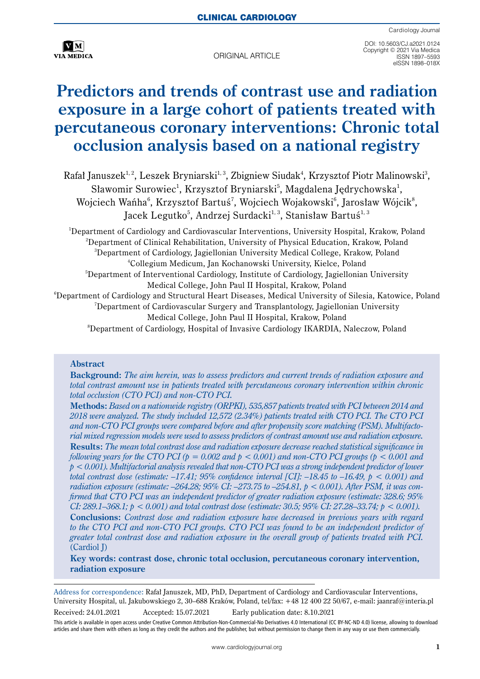

original article

DOI: 10.5603/CJ.a2021.0124 Copyright © 2021 Via Medica ISSN 1897–5593 eISSN 1898–018X

# **Predictors and trends of contrast use and radiation exposure in a large cohort of patients treated with percutaneous coronary interventions: Chronic total occlusion analysis based on a national registry**

 $R$ afał Januszek<sup>1, 2</sup>, Leszek Bryniarski<sup>1, 3</sup>, Zbigniew Siudak<sup>4</sup>, Krzysztof Piotr Malinowski<sup>3</sup>, Sławomir Surowiec<sup>1</sup>, Krzysztof Bryniarski<sup>5</sup>, Magdalena Jędrychowska<sup>1</sup>, Wojciech Wańha $\mathrm{^6}$ , Krzysztof Bartuś $\mathrm{^7}$ , Wojciech Wojakowski $\mathrm{^6}$ , Jarosław Wójcik $\mathrm{^8}$ , Jacek Legutko<sup>5</sup>, Andrzej Surdacki<sup>1, 3</sup>, Stanisław Bartuś<sup>1, 3</sup>

<sup>1</sup>Department of Cardiology and Cardiovascular Interventions, University Hospital, Krakow, Poland<br><sup>2</sup>Department of Clinical Rehabilitation, University of Physical Education, Krakow, Poland <sup>2</sup>Department of Clinical Rehabilitation, University of Physical Education, Krakow, Poland <sup>3</sup>Department of Cardiology, Jagiellonian University Medical College, Krakow, Poland<br><sup>4</sup>Collegium Medicum, Jan Kochanowski University Kieleo, Poland Collegium Medicum, Jan Kochanowski University, Kielce, Poland 5 Department of Interventional Cardiology, Institute of Cardiology, Jagiellonian University Medical College, John Paul II Hospital, Krakow, Poland  $^6$ Department of Cardiology and Structural Heart Diseases, Medical University of Silesia, Katowice, Poland 7 Department of Cardiovascular Surgery and Transplantology, Jagiellonian University Medical College, John Paul II Hospital, Krakow, Poland 8 Department of Cardiology, Hospital of Invasive Cardiology IKARDIA, Naleczow, Poland

#### **Abstract**

**Background:** *The aim herein, was to assess predictors and current trends of radiation exposure and total contrast amount use in patients treated with percutaneous coronary intervention within chronic total occlusion (CTO PCI) and non-CTO PCI.* 

**Methods:** *Based on a nationwide registry (ORPKI), 535,857 patients treated with PCI between 2014 and 2018 were analyzed. The study included 12,572 (2.34%) patients treated with CTO PCI. The CTO PCI and non-CTO PCI groups were compared before and after propensity score matching (PSM). Multifactorial mixed regression models were used to assess predictors of contrast amount use and radiation exposure.* **Results:** *The mean total contrast dose and radiation exposure decrease reached statistical significance in following years for the CTO PCI (* $p = 0.002$  *and*  $p < 0.001$ *) and non-CTO PCI groups (* $p < 0.001$  *and p < 0.001). Multifactorial analysis revealed that non-CTO PCI was a strong independent predictor of lower total contrast dose (estimate: –17.41; 95% confidence interval [CI]: –18.45 to –16.49, p < 0.001) and radiation exposure (estimate: –264.28; 95% CI: –273.75 to –254.81, p < 0.001). After PSM, it was confirmed that CTO PCI was an independent predictor of greater radiation exposure (estimate: 328.6; 95% CI: 289.1–368.1; p < 0.001) and total contrast dose (estimate: 30.5; 95% CI: 27.28–33.74; p < 0.001).*

**Conclusions:** *Contrast dose and radiation exposure have decreased in previous years with regard*  to the CTO PCI and non-CTO PCI groups. CTO PCI was found to be an independent predictor of *greater total contrast dose and radiation exposure in the overall group of patients treated with PCI.*  (Cardiol J)

**Key words: contrast dose, chronic total occlusion, percutaneous coronary intervention, radiation exposure**

Received: 24.01.2021 Accepted: 15.07.2021 Early publication date: 8.10.2021

Address for correspondence: Rafał Januszek, MD, PhD, Department of Cardiology and Cardiovascular Interventions, University Hospital, ul. Jakubowskiego 2, 30–688 Kraków, Poland, tel/fax: +48 12 400 22 50/67, e-mail: jaanraf@interia.pl

This article is available in open access under Creative Common Attribution-Non-Commercial-No Derivatives 4.0 International (CC BY-NC-ND 4.0) license, allowing to download articles and share them with others as long as they credit the authors and the publisher, but without permission to change them in any way or use them commercially.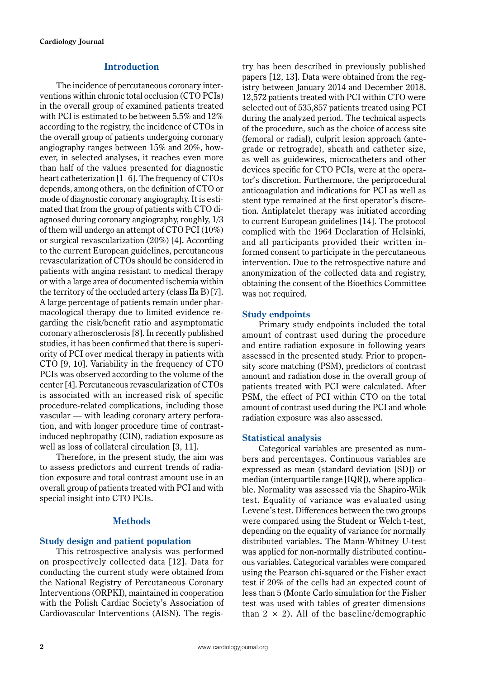# **Introduction**

The incidence of percutaneous coronary interventions within chronic total occlusion (CTO PCIs) in the overall group of examined patients treated with PCI is estimated to be between 5.5% and 12% according to the registry, the incidence of CTOs in the overall group of patients undergoing coronary angiography ranges between 15% and 20%, however, in selected analyses, it reaches even more than half of the values presented for diagnostic heart catheterization [1–6]. The frequency of CTOs depends, among others, on the definition of CTO or mode of diagnostic coronary angiography. It is estimated that from the group of patients with CTO diagnosed during coronary angiography, roughly, 1/3 of them will undergo an attempt of CTO PCI (10%) or surgical revascularization (20%) [4]. According to the current European guidelines, percutaneous revascularization of CTOs should be considered in patients with angina resistant to medical therapy or with a large area of documented ischemia within the territory of the occluded artery (class IIa B) [7]. A large percentage of patients remain under pharmacological therapy due to limited evidence regarding the risk/benefit ratio and asymptomatic coronary atherosclerosis [8]. In recently published studies, it has been confirmed that there is superiority of PCI over medical therapy in patients with CTO [9, 10]. Variability in the frequency of CTO PCIs was observed according to the volume of the center [4]. Percutaneous revascularization of CTOs is associated with an increased risk of specific procedure-related complications, including those vascular — with leading coronary artery perforation, and with longer procedure time of contrastinduced nephropathy (CIN), radiation exposure as well as loss of collateral circulation [3, 11].

Therefore, in the present study, the aim was to assess predictors and current trends of radiation exposure and total contrast amount use in an overall group of patients treated with PCI and with special insight into CTO PCIs.

# **Methods**

# **Study design and patient population**

This retrospective analysis was performed on prospectively collected data [12]. Data for conducting the current study were obtained from the National Registry of Percutaneous Coronary Interventions (ORPKI), maintained in cooperation with the Polish Cardiac Society's Association of Cardiovascular Interventions (AISN). The registry has been described in previously published papers [12, 13]. Data were obtained from the registry between January 2014 and December 2018. 12,572 patients treated with PCI within CTO were selected out of 535,857 patients treated using PCI during the analyzed period. The technical aspects of the procedure, such as the choice of access site (femoral or radial), culprit lesion approach (antegrade or retrograde), sheath and catheter size, as well as guidewires, microcatheters and other devices specific for CTO PCIs, were at the operator's discretion. Furthermore, the periprocedural anticoagulation and indications for PCI as well as stent type remained at the first operator's discretion. Antiplatelet therapy was initiated according to current European guidelines [14]. The protocol complied with the 1964 Declaration of Helsinki, and all participants provided their written informed consent to participate in the percutaneous intervention. Due to the retrospective nature and anonymization of the collected data and registry, obtaining the consent of the Bioethics Committee was not required.

# **Study endpoints**

Primary study endpoints included the total amount of contrast used during the procedure and entire radiation exposure in following years assessed in the presented study. Prior to propensity score matching (PSM), predictors of contrast amount and radiation dose in the overall group of patients treated with PCI were calculated. After PSM, the effect of PCI within CTO on the total amount of contrast used during the PCI and whole radiation exposure was also assessed.

# **Statistical analysis**

Categorical variables are presented as numbers and percentages. Continuous variables are expressed as mean (standard deviation [SD]) or median (interquartile range [IQR]), where applicable. Normality was assessed via the Shapiro-Wilk test. Equality of variance was evaluated using Levene's test. Differences between the two groups were compared using the Student or Welch t-test, depending on the equality of variance for normally distributed variables. The Mann-Whitney U-test was applied for non-normally distributed continuous variables. Categorical variables were compared using the Pearson chi-squared or the Fisher exact test if 20% of the cells had an expected count of less than 5 (Monte Carlo simulation for the Fisher test was used with tables of greater dimensions than  $2 \times 2$ ). All of the baseline/demographic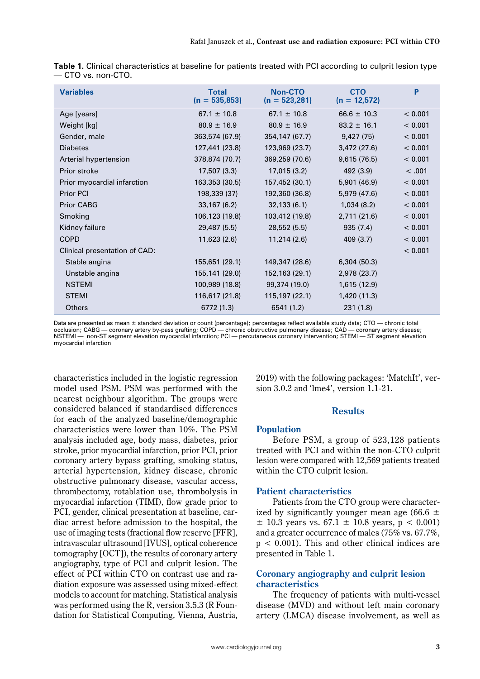| <b>Variables</b>              | <b>Non-CTO</b><br><b>Total</b><br>$(n = 535,853)$<br>$(n = 523,281)$ |                 | <b>CTO</b><br>$(n = 12,572)$ | P       |
|-------------------------------|----------------------------------------------------------------------|-----------------|------------------------------|---------|
| Age [years]                   | $67.1 \pm 10.8$                                                      | $67.1 \pm 10.8$ | $66.6 \pm 10.3$              | < 0.001 |
| Weight [kg]                   | $80.9 \pm 16.9$                                                      | $80.9 \pm 16.9$ | $83.2 \pm 16.1$              | < 0.001 |
| Gender, male                  | 363,574 (67.9)                                                       | 354,147 (67.7)  | 9,427(75)                    | < 0.001 |
| <b>Diabetes</b>               | 127,441 (23.8)                                                       | 123,969 (23.7)  | 3,472(27.6)                  | < 0.001 |
| Arterial hypertension         | 378,874 (70.7)                                                       | 369,259 (70.6)  | 9,615(76.5)                  | < 0.001 |
| Prior stroke                  | 17,507 (3.3)                                                         | 17,015 (3.2)    | 492 (3.9)                    | < .001  |
| Prior myocardial infarction   | 163,353 (30.5)                                                       | 157,452 (30.1)  | 5,901 (46.9)                 | < 0.001 |
| <b>Prior PCI</b>              | 198,339 (37)                                                         | 192,360 (36.8)  | 5,979 (47.6)                 | < 0.001 |
| <b>Prior CABG</b>             | 33,167(6.2)                                                          | 32,133(6.1)     | 1,034(8.2)                   | < 0.001 |
| Smoking                       | 106,123 (19.8)                                                       | 103,412 (19.8)  | 2,711(21.6)                  | < 0.001 |
| Kidney failure                | 29,487 (5.5)                                                         | 28,552 (5.5)    | 935(7.4)                     | < 0.001 |
| <b>COPD</b>                   | 11,623 (2.6)                                                         | 11,214 (2.6)    | 409 (3.7)                    | < 0.001 |
| Clinical presentation of CAD: |                                                                      |                 |                              | < 0.001 |
| Stable angina                 | 155,651 (29.1)                                                       | 149,347 (28.6)  | 6,304(50.3)                  |         |
| Unstable angina               | 155,141 (29.0)                                                       | 152,163 (29.1)  | 2,978 (23.7)                 |         |
| <b>NSTEMI</b>                 | 100,989 (18.8)                                                       | 99,374 (19.0)   | 1,615 (12.9)                 |         |
| <b>STEMI</b>                  | 116,617 (21.8)                                                       | 115, 197 (22.1) | 1,420 (11.3)                 |         |
| <b>Others</b>                 | 6772 (1.3)                                                           | 6541 (1.2)      | 231(1.8)                     |         |

| Table 1. Clinical characteristics at baseline for patients treated with PCI according to culprit lesion type |  |  |
|--------------------------------------------------------------------------------------------------------------|--|--|
| — CTO vs. non-CTO.                                                                                           |  |  |

Data are presented as mean ± standard deviation or count (percentage); percentages reflect available study data; CTO — chronic total occlusion; CABG — coronary artery by-pass grafting; COPD — chronic obstructive pulmonary disease; CAD — coronary artery disease; NSTEMI — non-ST segment elevation myocardial infarction; PCI — percutaneous coronary intervention; STEMI — ST segment elevation myocardial infarction

characteristics included in the logistic regression model used PSM. PSM was performed with the nearest neighbour algorithm. The groups were considered balanced if standardised differences for each of the analyzed baseline/demographic characteristics were lower than 10%. The PSM analysis included age, body mass, diabetes, prior stroke, prior myocardial infarction, prior PCI, prior coronary artery bypass grafting, smoking status, arterial hypertension, kidney disease, chronic obstructive pulmonary disease, vascular access, thrombectomy, rotablation use, thrombolysis in myocardial infarction (TIMI), flow grade prior to PCI, gender, clinical presentation at baseline, cardiac arrest before admission to the hospital, the use of imaging tests (fractional flow reserve [FFR], intravascular ultrasound [IVUS], optical coherence tomography [OCT]), the results of coronary artery angiography, type of PCI and culprit lesion. The effect of PCI within CTO on contrast use and radiation exposure was assessed using mixed-effect models to account for matching. Statistical analysis was performed using the R, version 3.5.3 (R Foundation for Statistical Computing, Vienna, Austria,

2019) with the following packages: 'MatchIt', version 3.0.2 and 'lme4', version 1.1-21.

# **Results**

# **Population**

Before PSM, a group of 523,128 patients treated with PCI and within the non-CTO culprit lesion were compared with 12,569 patients treated within the CTO culprit lesion.

# **Patient characteristics**

Patients from the CTO group were characterized by significantly younger mean age (66.6  $\pm$  $\pm$  10.3 years vs. 67.1  $\pm$  10.8 years, p < 0.001) and a greater occurrence of males (75% vs. 67.7%,  $p < 0.001$ ). This and other clinical indices are presented in Table 1.

# **Coronary angiography and culprit lesion characteristics**

The frequency of patients with multi-vessel disease (MVD) and without left main coronary artery (LMCA) disease involvement, as well as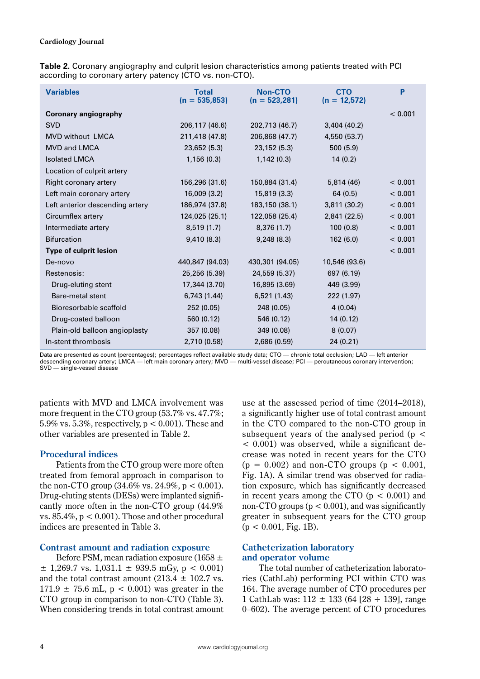| Table 2. Coronary angiography and culprit lesion characteristics among patients treated with PCI |  |
|--------------------------------------------------------------------------------------------------|--|
| according to coronary artery patency (CTO vs. non-CTO).                                          |  |

| <b>Variables</b>                | <b>Total</b><br>$(n = 535,853)$ | Non-CTO<br>$(n = 523,281)$ | <b>CTO</b><br>$(n = 12,572)$ | P       |
|---------------------------------|---------------------------------|----------------------------|------------------------------|---------|
| <b>Coronary angiography</b>     |                                 |                            |                              | < 0.001 |
| <b>SVD</b>                      | 206,117 (46.6)                  | 202,713 (46.7)             | 3,404(40.2)                  |         |
| <b>MVD without LMCA</b>         | 211,418 (47.8)                  | 206,868 (47.7)             | 4,550 (53.7)                 |         |
| <b>MVD and LMCA</b>             | 23,652 (5.3)                    | 23,152 (5.3)               | 500(5.9)                     |         |
| <b>Isolated LMCA</b>            | 1,156(0.3)                      | 1,142(0.3)                 | 14(0.2)                      |         |
| Location of culprit artery      |                                 |                            |                              |         |
| Right coronary artery           | 156,296 (31.6)                  | 150,884 (31.4)             | 5,814 (46)                   | < 0.001 |
| Left main coronary artery       | 16,009 (3.2)                    | 15,819 (3.3)               | 64(0.5)                      | < 0.001 |
| Left anterior descending artery | 186,974 (37.8)                  | 183,150 (38.1)             | 3,811 (30.2)                 | < 0.001 |
| Circumflex artery               | 124,025 (25.1)                  | 122,058 (25.4)             | 2,841 (22.5)                 | < 0.001 |
| Intermediate artery             | 8,519(1.7)                      | 8,376(1.7)                 | 100(0.8)                     | < 0.001 |
| <b>Bifurcation</b>              | 9,410(8.3)                      | 9,248(8.3)                 | 162(6.0)                     | < 0.001 |
| <b>Type of culprit lesion</b>   |                                 |                            |                              | < 0.001 |
| De-novo                         | 440,847 (94.03)                 | 430,301 (94.05)            | 10,546 (93.6)                |         |
| Restenosis:                     | 25,256 (5.39)                   | 24,559 (5.37)              | 697 (6.19)                   |         |
| Drug-eluting stent              | 17,344 (3.70)                   | 16,895 (3.69)              | 449 (3.99)                   |         |
| Bare-metal stent                | 6,743 (1.44)                    | 6,521 (1.43)               | 222 (1.97)                   |         |
| Bioresorbable scaffold          | 252 (0.05)                      | 248 (0.05)                 | 4(0.04)                      |         |
| Drug-coated balloon             | 560 (0.12)                      | 546 (0.12)                 | 14 (0.12)                    |         |
| Plain-old balloon angioplasty   | 357 (0.08)                      | 349 (0.08)                 | 8(0.07)                      |         |
| In-stent thrombosis             | 2,710 (0.58)                    | 2,686 (0.59)               | 24 (0.21)                    |         |

Data are presented as count (percentages); percentages reflect available study data; CTO — chronic total occlusion; LAD — left anterior descending coronary artery; LMCA — left main coronary artery; MVD — multi-vessel disease; PCI — percutaneous coronary intervention; SVD — single-vessel disease

patients with MVD and LMCA involvement was more frequent in the CTO group (53.7% vs. 47.7%; 5.9% vs. 5.3%, respectively,  $p < 0.001$ ). These and other variables are presented in Table 2.

# **Procedural indices**

Patients from the CTO group were more often treated from femoral approach in comparison to the non-CTO group  $(34.6\% \text{ vs. } 24.9\%, \text{ p} < 0.001)$ . Drug-eluting stents (DESs) were implanted significantly more often in the non-CTO group (44.9% vs.  $85.4\%$ ,  $p < 0.001$ ). Those and other procedural indices are presented in Table 3.

# **Contrast amount and radiation exposure**

Before PSM, mean radiation exposure (1658  $\pm$  $\pm$  1,269.7 vs. 1,031.1  $\pm$  939.5 mGy, p < 0.001) and the total contrast amount (213.4  $\pm$  102.7 vs.  $171.9 \pm 75.6 \text{ mL}$ ,  $p < 0.001$ ) was greater in the CTO group in comparison to non-CTO (Table 3). When considering trends in total contrast amount use at the assessed period of time (2014–2018), a significantly higher use of total contrast amount in the CTO compared to the non-CTO group in subsequent years of the analysed period ( $p <$ < 0.001) was observed, while a significant decrease was noted in recent years for the CTO  $(p = 0.002)$  and non-CTO groups  $(p < 0.001)$ , Fig. 1A). A similar trend was observed for radiation exposure, which has significantly decreased in recent years among the CTO  $(p < 0.001)$  and non-CTO groups ( $p < 0.001$ ), and was significantly greater in subsequent years for the CTO group  $(p < 0.001,$  Fig. 1B).

# **Catheterization laboratory and operator volume**

The total number of catheterization laboratories (CathLab) performing PCI within CTO was 164. The average number of CTO procedures per 1 CathLab was:  $112 \pm 133$  (64 [28  $\div$  139], range 0–602). The average percent of CTO procedures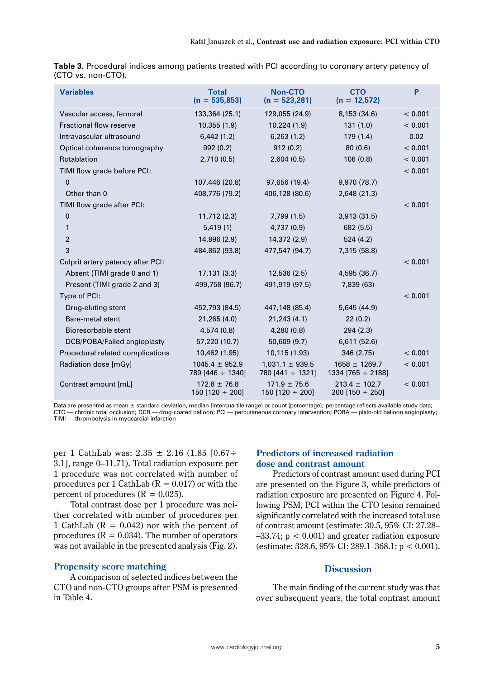| <b>Variables</b>                  | <b>Non-CTO</b><br><b>Total</b><br>$(n = 535,853)$<br>$(n = 523,281)$ |                                              | <b>CTO</b><br>$(n = 12,572)$              | P       |
|-----------------------------------|----------------------------------------------------------------------|----------------------------------------------|-------------------------------------------|---------|
| Vascular access, femoral          | 133,364 (25.1)                                                       | 129,055 (24.9)                               | 8,153 (34.6)                              | < 0.001 |
| <b>Fractional flow reserve</b>    | 10,355(1.9)                                                          | 10,224 (1.9)                                 | 131(1.0)                                  | < 0.001 |
| Intravascular ultrasound          | 6,442(1.2)                                                           | 6,263(1.2)                                   | 179(1.4)                                  | 0.02    |
| Optical coherence tomography      | 992(0.2)                                                             | 912(0.2)                                     | 80(0.6)                                   | < 0.001 |
| Rotablation                       | 2,710(0.5)                                                           | 2,604(0.5)                                   | 106 (0.8)                                 | < 0.001 |
| TIMI flow grade before PCI:       |                                                                      |                                              |                                           | < 0.001 |
| $\mathbf 0$                       | 107,446 (20.8)                                                       | 97,656 (19.4)                                | 9,970 (78.7)                              |         |
| Other than 0                      | 408,776 (79.2)                                                       | 406,128 (80.6)                               | 2,648 (21.3)                              |         |
| TIMI flow grade after PCI:        |                                                                      |                                              |                                           | < 0.001 |
| 0                                 | 11,712(2.3)                                                          | 7,799 (1.5)                                  | 3,913(31.5)                               |         |
| 1                                 | 5,419(1)                                                             | 4,737 (0.9)                                  | 682 (5.5)                                 |         |
| $\overline{c}$                    | 14,896 (2.9)                                                         | 14,372 (2.9)                                 | 524 (4.2)                                 |         |
| 3                                 | 484,862 (93.8)                                                       | 477,547 (94.7)                               | 7,315 (58.8)                              |         |
| Culprit artery patency after PCI: |                                                                      |                                              |                                           | < 0.001 |
| Absent (TIMI grade 0 and 1)       | 17,131(3.3)                                                          | 12,536(2.5)                                  | 4,595 (36.7)                              |         |
| Present (TIMI grade 2 and 3)      | 499,758 (96.7)                                                       | 491,919 (97.5)                               | 7,839 (63)                                |         |
| Type of PCI:                      |                                                                      |                                              |                                           | < 0.001 |
| Drug-eluting stent                | 452,793 (84.5)                                                       | 447,148 (85.4)                               | 5,645 (44.9)                              |         |
| Bare-metal stent                  | 21,265 (4.0)                                                         | 21,243(4.1)                                  | 22(0.2)                                   |         |
| Bioresorbable stent               | 4,574 (0.8)                                                          | 4,280(0.8)                                   | 294(2.3)                                  |         |
| DCB/POBA/Failed angioplasty       | 57,220 (10.7)                                                        | 50,609 (9.7)                                 | 6,611(52.6)                               |         |
| Procedural related complications  | 10,462 (1.95)                                                        | 10,115 (1.93)                                | 346 (2.75)                                | < 0.001 |
| Radiation dose [mGy]              | $1045.4 \pm 952.9$<br>789 [446 $\div$ 1340]                          | $1.031.1 \pm 939.5$<br>780 [441 $\div$ 1321] | $1658 \pm 1269.7$<br>$1334$ [765 ÷ 2188]  | < 0.001 |
| Contrast amount [mL]              | $172.8 \pm 76.8$<br>150 [120 $\div$ 200]                             | $171.9 \pm 75.6$<br>150 [120 $\div$ 200]     | $213.4 \pm 102.7$<br>200 [150 $\div$ 250] | < 0.001 |

|                    | Table 3. Procedural indices among patients treated with PCI according to coronary artery patency of |  |  |
|--------------------|-----------------------------------------------------------------------------------------------------|--|--|
| (CTO vs. non-CTO). |                                                                                                     |  |  |

Data are presented as mean ± standard deviation, median [interquartile range] or count (percentage); percentage reflects available study data;<br>CTO — chronic total occlusion; DCB — drug-coated balloon; PCI — percutaneous co TIMI — thrombolysis in myocardial infarction

per 1 CathLab was: 2.35 ± 2.16 (1.85 [0.67÷ 3.1], range 0–11.71). Total radiation exposure per 1 procedure was not correlated with number of procedures per 1 CathLab ( $R = 0.017$ ) or with the percent of procedures ( $R = 0.025$ ).

Total contrast dose per 1 procedure was neither correlated with number of procedures per 1 CathLab ( $R = 0.042$ ) nor with the percent of procedures  $(R = 0.034)$ . The number of operators was not available in the presented analysis (Fig. 2).

# **Propensity score matching**

A comparison of selected indices between the CTO and non-CTO groups after PSM is presented in Table 4.

# **Predictors of increased radiation dose and contrast amount**

Predictors of contrast amount used during PCI are presented on the Figure 3, while predictors of radiation exposure are presented on Figure 4. Following PSM, PCI within the CTO lesion remained significantly correlated with the increased total use of contrast amount (estimate: 30.5, 95% CI: 27.28–  $-33.74$ ;  $p < 0.001$ ) and greater radiation exposure (estimate: 328.6, 95% CI: 289.1–368.1; p < 0.001).

# **Discussion**

The main finding of the current study was that over subsequent years, the total contrast amount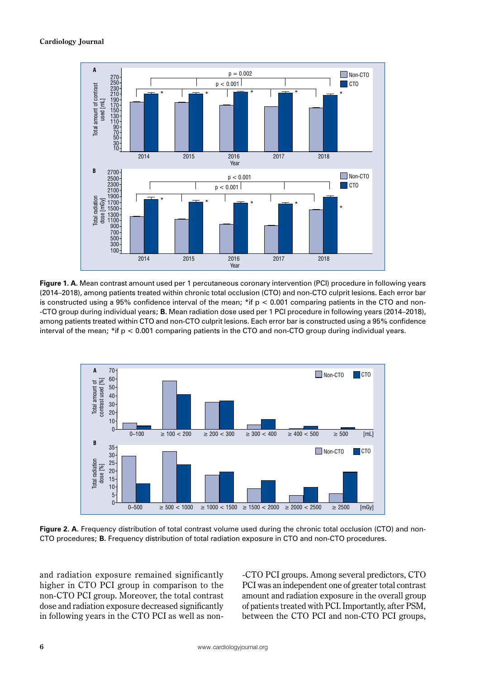

**Figure 1. A.** Mean contrast amount used per 1 percutaneous coronary intervention (PCI) procedure in following years (2014–2018), among patients treated within chronic total occlusion (CTO) and non-CTO culprit lesions. Each error bar is constructed using a 95% confidence interval of the mean;  $*$ if  $p < 0.001$  comparing patients in the CTO and non--CTO group during individual years; **B.** Mean radiation dose used per 1 PCI procedure in following years (2014–2018), among patients treated within CTO and non-CTO culprit lesions. Each error bar is constructed using a 95% confidence interval of the mean; \*if p < 0.001 comparing patients in the CTO and non-CTO group during individual years.



**Figure 2. A.** Frequency distribution of total contrast volume used during the chronic total occlusion (CTO) and non-CTO procedures; **B.** Frequency distribution of total radiation exposure in CTO and non-CTO procedures.

and radiation exposure remained significantly higher in CTO PCI group in comparison to the non-CTO PCI group. Moreover, the total contrast dose and radiation exposure decreased significantly in following years in the CTO PCI as well as non-CTO PCI groups. Among several predictors, CTO PCI was an independent one of greater total contrast amount and radiation exposure in the overall group of patients treated with PCI. Importantly, after PSM, between the CTO PCI and non-CTO PCI groups,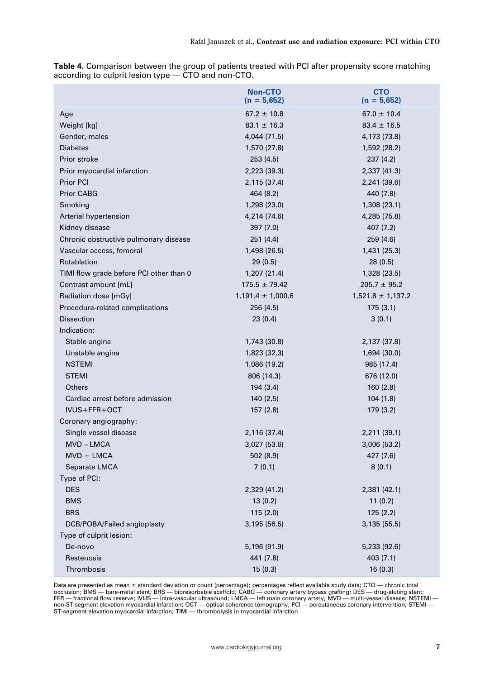|                                         | <b>Non-CTO</b><br>$(n = 5,652)$ | <b>CTO</b><br>$(n = 5,652)$ |
|-----------------------------------------|---------------------------------|-----------------------------|
| Age                                     | $67.2 \pm 10.8$                 | $67.0 \pm 10.4$             |
| Weight [kg]                             | $83.1 \pm 16.3$                 | $83.4 \pm 16.5$             |
| Gender, males                           | 4,044 (71.5)                    | 4,173 (73.8)                |
| <b>Diabetes</b>                         | 1,570 (27.8)                    | 1,592 (28.2)                |
| Prior stroke                            | 253 (4.5)                       | 237 (4.2)                   |
| Prior myocardial infarction             | 2,223 (39.3)                    | 2,337 (41.3)                |
| Prior PCI                               | 2,115 (37.4)                    | 2,241 (39.6)                |
| Prior CABG                              | 464 (8.2)                       | 440 (7.8)                   |
| Smoking                                 | 1,298 (23.0)                    | 1,308 (23.1)                |
| Arterial hypertension                   | 4,214 (74.6)                    | 4,285 (75.8)                |
| Kidney disease                          | 397 (7.0)                       | 407 (7.2)                   |
| Chronic obstructive pulmonary disease   | 251(4.4)                        | 259 (4.6)                   |
| Vascular access, femoral                | 1,498 (26.5)                    | 1,431 (25.3)                |
| Rotablation                             | 29 (0.5)                        | 28 (0.5)                    |
| TIMI flow grade before PCI other than 0 | 1,207 (21.4)                    | 1,328 (23.5)                |
| Contrast amount [mL]                    | $175.5 \pm 79.42$               | $205.7 \pm 95.2$            |
| Radiation dose [mGy]                    | $1,191.4 \pm 1,000.6$           | $1,521.8 \pm 1,137.2$       |
| Procedure-related complications         | 256 (4.5)                       | 175(3.1)                    |
| <b>Dissection</b>                       | 23(0.4)                         | 3(0.1)                      |
| Indication:                             |                                 |                             |
| Stable angina                           | 1,743 (30.8)                    | 2,137 (37.8)                |
| Unstable angina                         | 1,823 (32.3)                    | 1,694 (30.0)                |
| <b>NSTEMI</b>                           | 1,086 (19.2)                    | 985 (17.4)                  |
| <b>STEMI</b>                            | 806 (14.3)                      | 676 (12.0)                  |
| <b>Others</b>                           | 194 (3.4)                       | 160(2.8)                    |
| Cardiac arrest before admission         | 140 (2.5)                       | 104 (1.8)                   |
| IVUS+FFR+OCT                            | 157(2.8)                        | 179 (3.2)                   |
| Coronary angiography:                   |                                 |                             |
| Single vessel disease                   | 2,116 (37.4)                    | 2,211 (39.1)                |
| MVD-LMCA                                | 3,027 (53.6)                    | 3,006 (53.2)                |
| $MVD + LMCA$                            | 502 (8.9)                       | 427 (7.6)                   |
| Separate LMCA                           | 7(0.1)                          | 8(0.1)                      |
| Type of PCI:                            |                                 |                             |
| <b>DES</b>                              | 2,329 (41.2)                    | 2,381 (42.1)                |
| <b>BMS</b>                              | 13(0.2)                         | 11(0.2)                     |
| <b>BRS</b>                              | 115 (2.0)                       | 125(2.2)                    |
| DCB/POBA/Failed angioplasty             | 3,195 (56.5)                    | 3,135 (55.5)                |
| Type of culprit lesion:                 |                                 |                             |
| De-novo                                 | 5,196 (91.9)                    | 5,233 (92.6)                |
| Restenosis                              | 441 (7.8)                       | 403 (7.1)                   |
| Thrombosis                              | 15(0.3)                         | 16(0.3)                     |

**Table 4.** Comparison between the group of patients treated with PCI after propensity score matching according to culprit lesion type — CTO and non-CTO.

Data are presented as mean ± standard deviation or count (percentage); percentages reflect available study data; CTO — chronic total<br>occlusion; BMS — bare-metal stent; BRS — bioresorbable scaffold; CABG — coronary artery b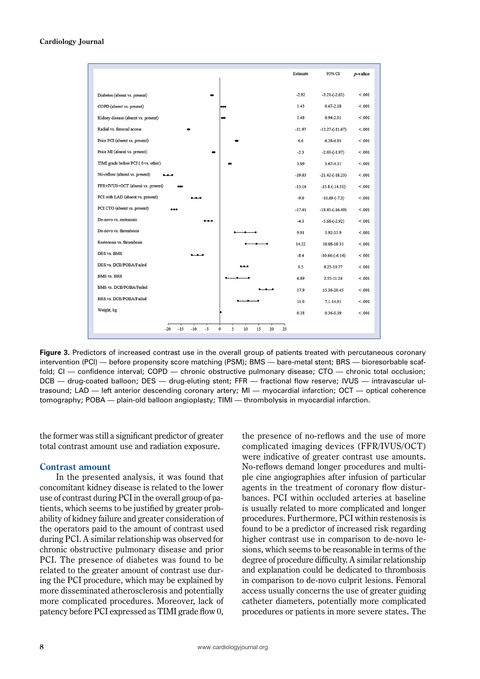|                                                                   | Estimate | 95% CI               | <i>p</i> -value |
|-------------------------------------------------------------------|----------|----------------------|-----------------|
| Diabetes (absent vs. present)                                     | $-2.92$  | $-3.21 - (-2.63)$    | < .001          |
| COPD (absent vs. present)<br>                                     | 1.43     | $0.67 - 2.18$        | < .001          |
| Kidney disease (absent vs. present)<br>œ                          | 1.48     | $0.94 - 2.01$        | < .001          |
| Radial vs. femoral access                                         | $-11.97$ | $-12.27 - (-11.67)$  | < .001          |
| Prior PCI (absent vs. present)                                    | 6.6      | 6.28-6.93            | < 0.001         |
| Prior MI (absent vs. present)                                     | $-2.3$   | $-2.63 - (-1.97)$    | < .001          |
| TIMI grade before PCI (0 vs. other)                               | 3.99     | 3.67-4.31            | < .001          |
| No-reflow (absent vs. present)                                    | $-19.83$ | $-21.42 - (-18.23)$  | < .001          |
| FFR+IVUS+OCT (absent vs. present)                                 | $-15.16$ | $-15.8 - (-14.51)$   | < .001          |
| PCI with LAD (absent vs. present)                                 | $-9.0$   | $-10.69-(-7.3)$      | < .001          |
| PCI CTO (absent vs. present)                                      | $-17.41$ | $-18.45-(-16.49)$    | < .001          |
| De-novo vs. restenosis                                            | $-4.3$   | $-5.68 - (-2.92)$    | < .001          |
| De-novo vs. thrombosis                                            | 9.91     | $5.92 - 13.9$        | < .001          |
| Restenosis vs. thrombosis                                         | 14.22    | 10.08-18.35          | < .001          |
| DES vs. BMS                                                       | $-8.4$   | $-10.66$ - $(-6.14)$ | < .001          |
| DES vs. DCB/POBA/Failed                                           | 9.5      | 8.23-10.77           | < .001          |
| <b>BMS</b> vs. BRS                                                | 6.89     | 2.55-11.24           | < .001          |
| BMS vs. DCB/POBA/Failed                                           | 17.9     | 15.36-20.45          | < 0.01          |
| BRS vs. DCB/POBA/Failed                                           | 11.0     | 7.1-14.91            | < .001          |
| Weight, kg                                                        | 0.38     | $0.36 - 0.39$        | < .001          |
| $-5$<br>5<br>$-15$<br>$-10$<br>0<br>10<br>15<br>20<br>$-20$<br>25 |          |                      |                 |

**Figure 3.** Predictors of increased contrast use in the overall group of patients treated with percutaneous coronary intervention (PCI) — before propensity score matching (PSM); BMS — bare-metal stent; BRS — bioresorbable scaffold; CI — confidence interval; COPD — chronic obstructive pulmonary disease; CTO — chronic total occlusion; DCB — drug-coated balloon; DES — drug-eluting stent; FFR — fractional flow reserve; IVUS — intravascular ultrasound; LAD — left anterior descending coronary artery; MI — myocardial infarction; OCT — optical coherence tomography; POBA — plain-old balloon angioplasty; TIMI — thrombolysis in myocardial infarction.

the former was still a significant predictor of greater total contrast amount use and radiation exposure.

#### **Contrast amount**

In the presented analysis, it was found that concomitant kidney disease is related to the lower use of contrast during PCI in the overall group of patients, which seems to be justified by greater probability of kidney failure and greater consideration of the operators paid to the amount of contrast used during PCI. A similar relationship was observed for chronic obstructive pulmonary disease and prior PCI. The presence of diabetes was found to be related to the greater amount of contrast use during the PCI procedure, which may be explained by more disseminated atherosclerosis and potentially more complicated procedures. Moreover, lack of patency before PCI expressed as TIMI grade flow 0,

the presence of no-reflows and the use of more complicated imaging devices (FFR/IVUS/OCT) were indicative of greater contrast use amounts. No-reflows demand longer procedures and multiple cine angiographies after infusion of particular agents in the treatment of coronary flow disturbances. PCI within occluded arteries at baseline is usually related to more complicated and longer procedures. Furthermore, PCI within restenosis is found to be a predictor of increased risk regarding higher contrast use in comparison to de-novo lesions, which seems to be reasonable in terms of the degree of procedure difficulty. A similar relationship and explanation could be dedicated to thrombosis in comparison to de-novo culprit lesions. Femoral access usually concerns the use of greater guiding catheter diameters, potentially more complicated procedures or patients in more severe states. The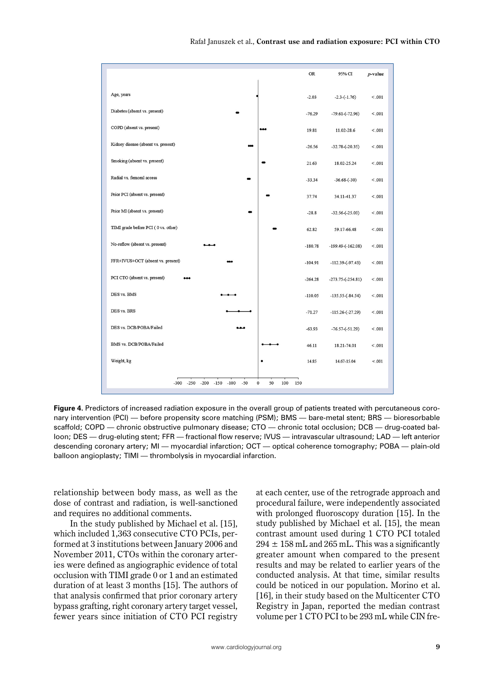|                                                                                   | <b>OR</b> | 95% CI                | $p$ -value |
|-----------------------------------------------------------------------------------|-----------|-----------------------|------------|
| Age, years                                                                        | $-2.03$   | $-2.3 - (-1.76)$      | < .001     |
| Diabetes (absent vs. present)                                                     | $-76.29$  | $-79.61 - (-72.96)$   | < .001     |
| COPD (absent vs. present)<br>ممه                                                  | 19.81     | 11.02-28.6            | < .001     |
| Kidney disease (absent vs. present)                                               | $-26.56$  | $-32.78 - (-20.35)$   | < .001     |
| Smoking (absent vs. present)                                                      | 21.63     | 18.02-25.24           | < .001     |
| Radial vs. femoral access                                                         | $-33.34$  | $-36.68-(-30)$        | < .001     |
| Prior PCI (absent vs. present)                                                    | 37.74     | 34.11-41.37           | < .001     |
| Prior MI (absent vs. present)                                                     | $-28.8$   | $-32.56 - (-25.03)$   | < .001     |
| TIMI grade before PCI (0 vs. other)                                               | 62.82     | 59.17-66.48           | < .001     |
| No-reflow (absent vs. present)                                                    | $-180.78$ | $-199.49 - (-162.08)$ | < .001     |
| FFR+IVUS+OCT (absent vs. present)                                                 | $-104.91$ | $-112.39 - (-97.43)$  | < .001     |
| PCI CTO (absent vs. present)                                                      | $-264.28$ | $-273.75 - (-254.81)$ | < .001     |
| DES vs. BMS                                                                       | $-110.05$ | $-135.55(-84.54)$     | < .001     |
| DES vs. BRS                                                                       | $-71.27$  | $-115.26 - (-27.29)$  | < .001     |
| DES vs. DCB/POBA/Failed                                                           | $-63.93$  | $-76.57(-51.29)$      | < .001     |
| BMS vs. DCB/POBA/Failed                                                           | 46.11     | 18.21-74.01           | < .001     |
| Weight, kg                                                                        | 14.85     | 14.67-15.04           | < .001     |
| $-300 -250$<br>$-200 - 150$<br>$-100$<br>$-50$<br>$\mathbf 0$<br>50<br>100<br>150 |           |                       |            |

**Figure 4.** Predictors of increased radiation exposure in the overall group of patients treated with percutaneous coronary intervention (PCI) — before propensity score matching (PSM); BMS — bare-metal stent; BRS — bioresorbable scaffold; COPD — chronic obstructive pulmonary disease; CTO — chronic total occlusion; DCB — drug-coated balloon; DES — drug-eluting stent; FFR — fractional flow reserve; IVUS — intravascular ultrasound; LAD — left anterior descending coronary artery; MI — myocardial infarction; OCT — optical coherence tomography; POBA — plain-old balloon angioplasty; TIMI — thrombolysis in myocardial infarction.

relationship between body mass, as well as the dose of contrast and radiation, is well-sanctioned and requires no additional comments.

In the study published by Michael et al. [15], which included 1,363 consecutive CTO PCIs, performed at 3 institutions between January 2006 and November 2011, CTOs within the coronary arteries were defined as angiographic evidence of total occlusion with TIMI grade 0 or 1 and an estimated duration of at least 3 months [15]. The authors of that analysis confirmed that prior coronary artery bypass grafting, right coronary artery target vessel, fewer years since initiation of CTO PCI registry at each center, use of the retrograde approach and procedural failure, were independently associated with prolonged fluoroscopy duration [15]. In the study published by Michael et al. [15], the mean contrast amount used during 1 CTO PCI totaled  $294 \pm 158$  mL and  $265$  mL. This was a significantly greater amount when compared to the present results and may be related to earlier years of the conducted analysis. At that time, similar results could be noticed in our population. Morino et al. [16], in their study based on the Multicenter CTO Registry in Japan, reported the median contrast volume per 1 CTO PCI to be 293 mL while CIN fre-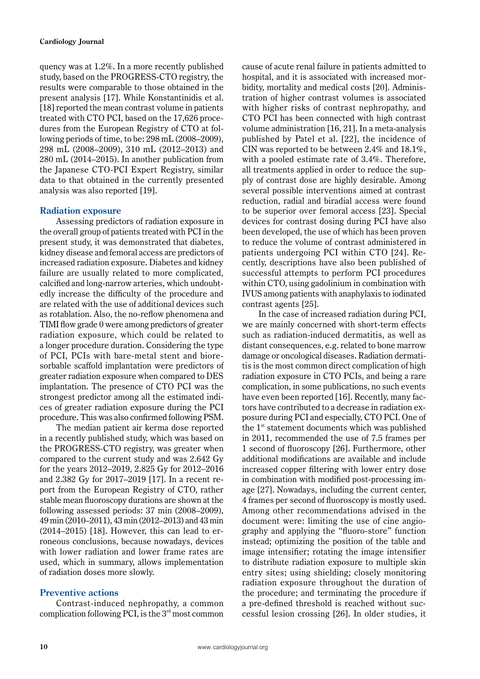quency was at 1.2%. In a more recently published study, based on the PROGRESS-CTO registry, the results were comparable to those obtained in the present analysis [17]. While Konstantinidis et al. [18] reported the mean contrast volume in patients treated with CTO PCI, based on the 17,626 procedures from the European Registry of CTO at following periods of time, to be: 298 mL (2008–2009), 298 mL (2008–2009), 310 mL (2012–2013) and 280 mL (2014–2015). In another publication from the Japanese CTO-PCI Expert Registry, similar data to that obtained in the currently presented analysis was also reported [19].

## **Radiation exposure**

Assessing predictors of radiation exposure in the overall group of patients treated with PCI in the present study, it was demonstrated that diabetes, kidney disease and femoral access are predictors of increased radiation exposure. Diabetes and kidney failure are usually related to more complicated, calcified and long-narrow arteries, which undoubtedly increase the difficulty of the procedure and are related with the use of additional devices such as rotablation. Also, the no-reflow phenomena and TIMI flow grade 0 were among predictors of greater radiation exposure, which could be related to a longer procedure duration. Considering the type of PCI, PCIs with bare-metal stent and bioresorbable scaffold implantation were predictors of greater radiation exposure when compared to DES implantation. The presence of CTO PCI was the strongest predictor among all the estimated indices of greater radiation exposure during the PCI procedure. This was also confirmed following PSM.

The median patient air kerma dose reported in a recently published study, which was based on the PROGRESS-CTO registry, was greater when compared to the current study and was 2.642 Gy for the years 2012–2019, 2.825 Gy for 2012–2016 and 2.382 Gy for 2017–2019 [17]. In a recent report from the European Registry of CTO, rather stable mean fluoroscopy durations are shown at the following assessed periods: 37 min (2008–2009), 49 min (2010–2011), 43 min (2012–2013) and 43 min (2014–2015) [18]. However, this can lead to erroneous conclusions, because nowadays, devices with lower radiation and lower frame rates are used, which in summary, allows implementation of radiation doses more slowly.

# **Preventive actions**

Contrast-induced nephropathy, a common complication following PCI, is the  $3<sup>rd</sup>$  most common cause of acute renal failure in patients admitted to hospital, and it is associated with increased morbidity, mortality and medical costs [20]. Administration of higher contrast volumes is associated with higher risks of contrast nephropathy, and CTO PCI has been connected with high contrast volume administration [16, 21]. In a meta-analysis published by Patel et al. [22], the incidence of CIN was reported to be between 2.4% and 18.1%, with a pooled estimate rate of 3.4%. Therefore, all treatments applied in order to reduce the supply of contrast dose are highly desirable. Among several possible interventions aimed at contrast reduction, radial and biradial access were found to be superior over femoral access [23]. Special devices for contrast dosing during PCI have also been developed, the use of which has been proven to reduce the volume of contrast administered in patients undergoing PCI within CTO [24]. Recently, descriptions have also been published of successful attempts to perform PCI procedures within CTO, using gadolinium in combination with IVUS among patients with anaphylaxis to iodinated contrast agents [25].

In the case of increased radiation during PCI, we are mainly concerned with short-term effects such as radiation-induced dermatitis, as well as distant consequences, e.g. related to bone marrow damage or oncological diseases. Radiation dermatitis is the most common direct complication of high radiation exposure in CTO PCIs, and being a rare complication, in some publications, no such events have even been reported [16]. Recently, many factors have contributed to a decrease in radiation exposure during PCI and especially, CTO PCI. One of the  $1<sup>st</sup>$  statement documents which was published in 2011, recommended the use of 7.5 frames per 1 second of fluoroscopy [26]. Furthermore, other additional modifications are available and include increased copper filtering with lower entry dose in combination with modified post-processing image [27]. Nowadays, including the current center, 4 frames per second of fluoroscopy is mostly used. Among other recommendations advised in the document were: limiting the use of cine angiography and applying the "fluoro-store" function instead; optimizing the position of the table and image intensifier; rotating the image intensifier to distribute radiation exposure to multiple skin entry sites; using shielding; closely monitoring radiation exposure throughout the duration of the procedure; and terminating the procedure if a pre-defined threshold is reached without successful lesion crossing [26]. In older studies, it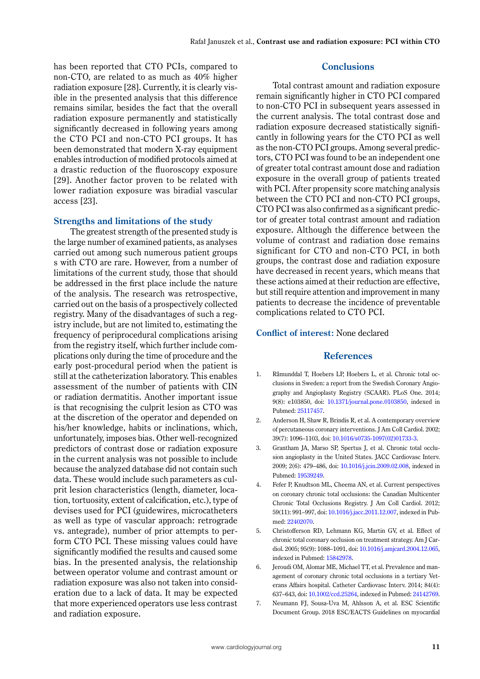has been reported that CTO PCIs, compared to non-CTO, are related to as much as 40% higher radiation exposure [28]. Currently, it is clearly visible in the presented analysis that this difference remains similar, besides the fact that the overall radiation exposure permanently and statistically significantly decreased in following years among the CTO PCI and non-CTO PCI groups. It has been demonstrated that modern X-ray equipment enables introduction of modified protocols aimed at a drastic reduction of the fluoroscopy exposure [29]. Another factor proven to be related with lower radiation exposure was biradial vascular access [23].

#### **Strengths and limitations of the study**

The greatest strength of the presented study is the large number of examined patients, as analyses carried out among such numerous patient groups s with CTO are rare. However, from a number of limitations of the current study, those that should be addressed in the first place include the nature of the analysis. The research was retrospective, carried out on the basis of a prospectively collected registry. Many of the disadvantages of such a registry include, but are not limited to, estimating the frequency of periprocedural complications arising from the registry itself, which further include complications only during the time of procedure and the early post-procedural period when the patient is still at the catheterization laboratory. This enables assessment of the number of patients with CIN or radiation dermatitis. Another important issue is that recognising the culprit lesion as CTO was at the discretion of the operator and depended on his/her knowledge, habits or inclinations, which, unfortunately, imposes bias. Other well-recognized predictors of contrast dose or radiation exposure in the current analysis was not possible to include because the analyzed database did not contain such data. These would include such parameters as culprit lesion characteristics (length, diameter, location, tortuosity, extent of calcification, etc.), type of devises used for PCI (guidewires, microcatheters as well as type of vascular approach: retrograde vs. antegrade), number of prior attempts to perform CTO PCI. These missing values could have significantly modified the results and caused some bias. In the presented analysis, the relationship between operator volume and contrast amount or radiation exposure was also not taken into consideration due to a lack of data. It may be expected that more experienced operators use less contrast and radiation exposure.

# **Conclusions**

Total contrast amount and radiation exposure remain significantly higher in CTO PCI compared to non-CTO PCI in subsequent years assessed in the current analysis. The total contrast dose and radiation exposure decreased statistically significantly in following years for the CTO PCI as well as the non-CTO PCI groups. Among several predictors, CTO PCI was found to be an independent one of greater total contrast amount dose and radiation exposure in the overall group of patients treated with PCI. After propensity score matching analysis between the CTO PCI and non-CTO PCI groups, CTO PCI was also confirmed as a significant predictor of greater total contrast amount and radiation exposure. Although the difference between the volume of contrast and radiation dose remains significant for CTO and non-CTO PCI, in both groups, the contrast dose and radiation exposure have decreased in recent years, which means that these actions aimed at their reduction are effective, but still require attention and improvement in many patients to decrease the incidence of preventable complications related to CTO PCI.

#### **Conflict of interest:** None declared

### **References**

- 1. Råmunddal T, Hoebers LP, Hoebers L, et al. Chronic total occlusions in Sweden: a report from the Swedish Coronary Angiography and Angioplasty Registry (SCAAR). PLoS One. 2014; 9(8): e103850, doi: [10.1371/journal.pone.0103850,](http://dx.doi.org/10.1371/journal.pone.0103850) indexed in Pubmed: [25117457](https://www.ncbi.nlm.nih.gov/pubmed/25117457).
- 2. Anderson H, Shaw R, Brindis R, et al. A contemporary overview of percutaneous coronary interventions. J Am Coll Cardiol. 2002; 39(7): 1096–1103, doi: [10.1016/s0735-1097\(02\)01733-3.](http://dx.doi.org/10.1016/s0735-1097(02)01733-3)
- 3. Grantham JA, Marso SP, Spertus J, et al. Chronic total occlusion angioplasty in the United States. JACC Cardiovasc Interv. 2009; 2(6): 479–486, doi: [10.1016/j.jcin.2009.02.008](http://dx.doi.org/10.1016/j.jcin.2009.02.008), indexed in Pubmed: [19539249](https://www.ncbi.nlm.nih.gov/pubmed/19539249).
- 4. Fefer P, Knudtson ML, Cheema AN, et al. Current perspectives on coronary chronic total occlusions: the Canadian Multicenter Chronic Total Occlusions Registry. J Am Coll Cardiol. 2012; 59(11): 991–997, doi: [10.1016/j.jacc.2011.12.007](http://dx.doi.org/10.1016/j.jacc.2011.12.007), indexed in Pubmed: [22402070.](https://www.ncbi.nlm.nih.gov/pubmed/22402070)
- 5. Christofferson RD, Lehmann KG, Martin GV, et al. Effect of chronic total coronary occlusion on treatment strategy. Am J Cardiol. 2005; 95(9): 1088–1091, doi: [10.1016/j.amjcard.2004.12.065](http://dx.doi.org/10.1016/j.amjcard.2004.12.065), indexed in Pubmed: [15842978.](https://www.ncbi.nlm.nih.gov/pubmed/15842978)
- 6. Jeroudi OM, Alomar ME, Michael TT, et al. Prevalence and management of coronary chronic total occlusions in a tertiary Veterans Affairs hospital. Catheter Cardiovasc Interv. 2014; 84(4): 637–643, doi: [10.1002/ccd.25264,](http://dx.doi.org/10.1002/ccd.25264) indexed in Pubmed: [24142769.](https://www.ncbi.nlm.nih.gov/pubmed/24142769)
- 7. Neumann FJ, Sousa-Uva M, Ahlsson A, et al. ESC Scientific Document Group. 2018 ESC/EACTS Guidelines on myocardial